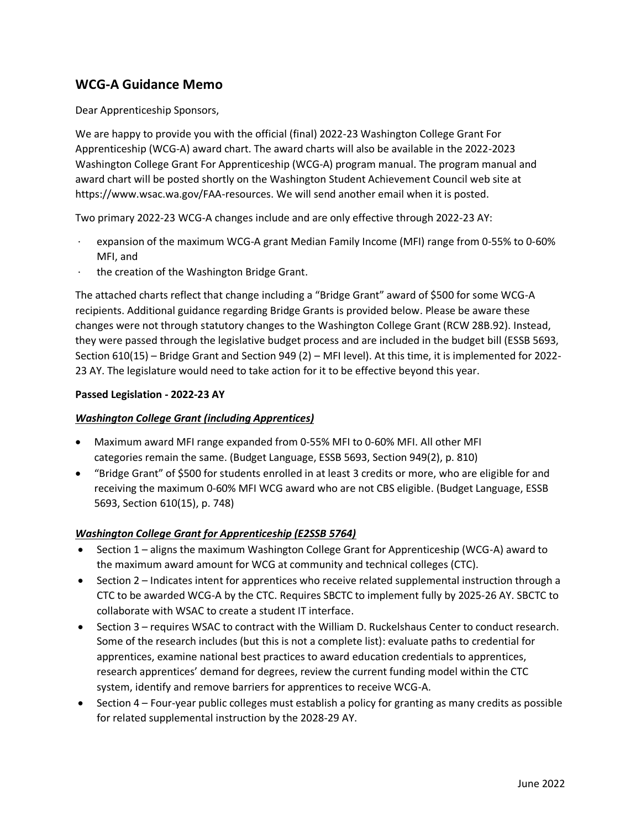# **WCG-A Guidance Memo**

Dear Apprenticeship Sponsors,

We are happy to provide you with the official (final) 2022-23 Washington College Grant For Apprenticeship (WCG-A) award chart. The award charts will also be available in the 2022-2023 Washington College Grant For Apprenticeship (WCG-A) program manual. The program manual and award chart will be posted shortly on the Washington Student Achievement Council web site at https://www.wsac.wa.gov/FAA-resources. We will send another email when it is posted.

Two primary 2022-23 WCG-A changes include and are only effective through 2022-23 AY:

- · expansion of the maximum WCG-A grant Median Family Income (MFI) range from 0-55% to 0-60% MFI, and
- the creation of the Washington Bridge Grant.

The attached charts reflect that change including a "Bridge Grant" award of \$500 for some WCG-A recipients. Additional guidance regarding Bridge Grants is provided below. Please be aware these changes were not through statutory changes to the Washington College Grant (RCW 28B.92). Instead, they were passed through the legislative budget process and are included in the budget bill (ESSB 5693, Section 610(15) – Bridge Grant and Section 949 (2) – MFI level). At this time, it is implemented for 2022- 23 AY. The legislature would need to take action for it to be effective beyond this year.

#### **Passed Legislation - 2022-23 AY**

#### *Washington College Grant (including Apprentices)*

- Maximum award MFI range expanded from 0-55% MFI to 0-60% MFI. All other MFI categories remain the same. (Budget Language, ESSB 5693, Section 949(2), p. 810)
- "Bridge Grant" of \$500 for students enrolled in at least 3 credits or more, who are eligible for and receiving the maximum 0-60% MFI WCG award who are not CBS eligible. (Budget Language, ESSB 5693, Section 610(15), p. 748)

#### *Washington College Grant for Apprenticeship (E2SSB 5764)*

- Section 1 aligns the maximum Washington College Grant for Apprenticeship (WCG-A) award to the maximum award amount for WCG at community and technical colleges (CTC).
- Section 2 Indicates intent for apprentices who receive related supplemental instruction through a CTC to be awarded WCG-A by the CTC. Requires SBCTC to implement fully by 2025-26 AY. SBCTC to collaborate with WSAC to create a student IT interface.
- Section 3 requires WSAC to contract with the William D. Ruckelshaus Center to conduct research. Some of the research includes (but this is not a complete list): evaluate paths to credential for apprentices, examine national best practices to award education credentials to apprentices, research apprentices' demand for degrees, review the current funding model within the CTC system, identify and remove barriers for apprentices to receive WCG-A.
- Section 4 Four-year public colleges must establish a policy for granting as many credits as possible for related supplemental instruction by the 2028-29 AY.